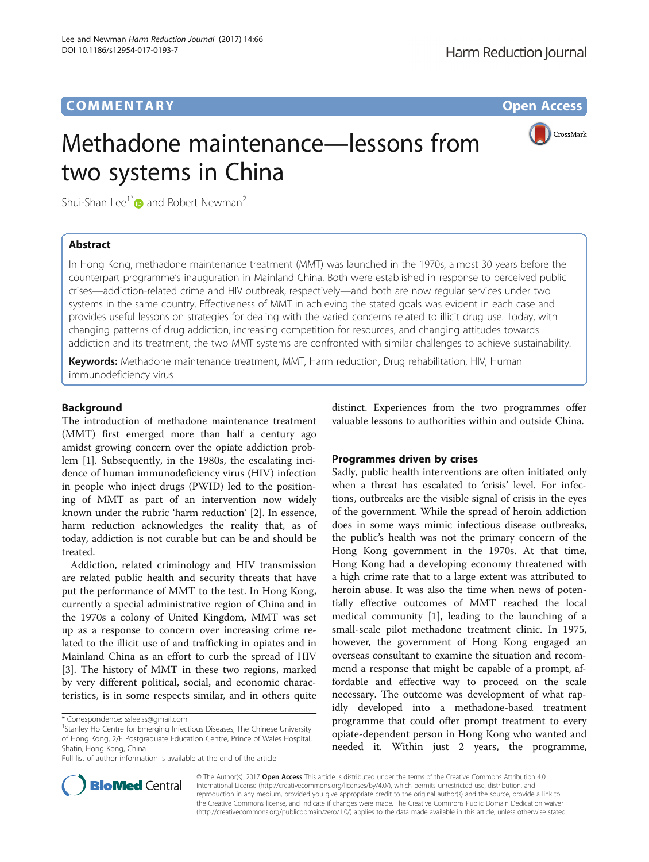# **COMMENTARY COMMENTARY Open Access**

CrossMark



Shui-Shan Lee<sup>1\*</sup> $\bullet$  and Robert Newman<sup>2</sup>

# Abstract

In Hong Kong, methadone maintenance treatment (MMT) was launched in the 1970s, almost 30 years before the counterpart programme's inauguration in Mainland China. Both were established in response to perceived public crises—addiction-related crime and HIV outbreak, respectively—and both are now regular services under two systems in the same country. Effectiveness of MMT in achieving the stated goals was evident in each case and provides useful lessons on strategies for dealing with the varied concerns related to illicit drug use. Today, with changing patterns of drug addiction, increasing competition for resources, and changing attitudes towards addiction and its treatment, the two MMT systems are confronted with similar challenges to achieve sustainability.

Keywords: Methadone maintenance treatment, MMT, Harm reduction, Drug rehabilitation, HIV, Human immunodeficiency virus

# **Background**

The introduction of methadone maintenance treatment (MMT) first emerged more than half a century ago amidst growing concern over the opiate addiction problem [[1\]](#page-3-0). Subsequently, in the 1980s, the escalating incidence of human immunodeficiency virus (HIV) infection in people who inject drugs (PWID) led to the positioning of MMT as part of an intervention now widely known under the rubric 'harm reduction' [[2\]](#page-3-0). In essence, harm reduction acknowledges the reality that, as of today, addiction is not curable but can be and should be treated.

Addiction, related criminology and HIV transmission are related public health and security threats that have put the performance of MMT to the test. In Hong Kong, currently a special administrative region of China and in the 1970s a colony of United Kingdom, MMT was set up as a response to concern over increasing crime related to the illicit use of and trafficking in opiates and in Mainland China as an effort to curb the spread of HIV [[3\]](#page-3-0). The history of MMT in these two regions, marked by very different political, social, and economic characteristics, is in some respects similar, and in others quite

distinct. Experiences from the two programmes offer valuable lessons to authorities within and outside China.

## Programmes driven by crises

Sadly, public health interventions are often initiated only when a threat has escalated to 'crisis' level. For infections, outbreaks are the visible signal of crisis in the eyes of the government. While the spread of heroin addiction does in some ways mimic infectious disease outbreaks, the public's health was not the primary concern of the Hong Kong government in the 1970s. At that time, Hong Kong had a developing economy threatened with a high crime rate that to a large extent was attributed to heroin abuse. It was also the time when news of potentially effective outcomes of MMT reached the local medical community [\[1\]](#page-3-0), leading to the launching of a small-scale pilot methadone treatment clinic. In 1975, however, the government of Hong Kong engaged an overseas consultant to examine the situation and recommend a response that might be capable of a prompt, affordable and effective way to proceed on the scale necessary. The outcome was development of what rapidly developed into a methadone-based treatment programme that could offer prompt treatment to every opiate-dependent person in Hong Kong who wanted and needed it. Within just 2 years, the programme,



© The Author(s). 2017 **Open Access** This article is distributed under the terms of the Creative Commons Attribution 4.0 International License [\(http://creativecommons.org/licenses/by/4.0/](http://creativecommons.org/licenses/by/4.0/)), which permits unrestricted use, distribution, and reproduction in any medium, provided you give appropriate credit to the original author(s) and the source, provide a link to the Creative Commons license, and indicate if changes were made. The Creative Commons Public Domain Dedication waiver [\(http://creativecommons.org/publicdomain/zero/1.0/](http://creativecommons.org/publicdomain/zero/1.0/)) applies to the data made available in this article, unless otherwise stated.

<sup>\*</sup> Correspondence: [sslee.ss@gmail.com](mailto:sslee.ss@gmail.com) <sup>1</sup>

<sup>&</sup>lt;sup>1</sup>Stanley Ho Centre for Emerging Infectious Diseases, The Chinese University of Hong Kong, 2/F Postgraduate Education Centre, Prince of Wales Hospital, Shatin, Hong Kong, China

Full list of author information is available at the end of the article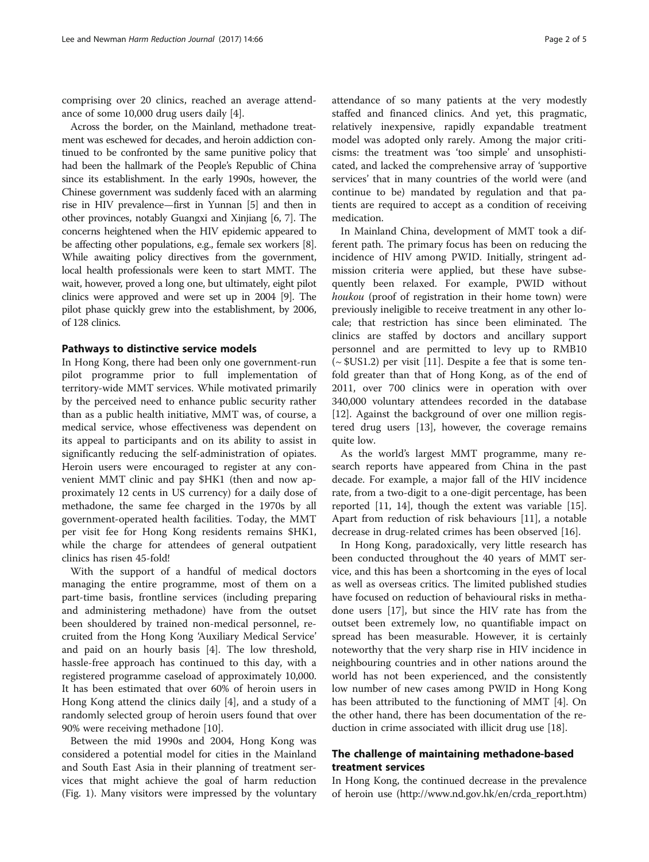comprising over 20 clinics, reached an average attendance of some 10,000 drug users daily [\[4](#page-3-0)].

Across the border, on the Mainland, methadone treatment was eschewed for decades, and heroin addiction continued to be confronted by the same punitive policy that had been the hallmark of the People's Republic of China since its establishment. In the early 1990s, however, the Chinese government was suddenly faced with an alarming rise in HIV prevalence—first in Yunnan [[5](#page-3-0)] and then in other provinces, notably Guangxi and Xinjiang [\[6](#page-3-0), [7](#page-4-0)]. The concerns heightened when the HIV epidemic appeared to be affecting other populations, e.g., female sex workers [[8](#page-4-0)]. While awaiting policy directives from the government, local health professionals were keen to start MMT. The wait, however, proved a long one, but ultimately, eight pilot clinics were approved and were set up in 2004 [[9](#page-4-0)]. The pilot phase quickly grew into the establishment, by 2006, of 128 clinics.

### Pathways to distinctive service models

In Hong Kong, there had been only one government-run pilot programme prior to full implementation of territory-wide MMT services. While motivated primarily by the perceived need to enhance public security rather than as a public health initiative, MMT was, of course, a medical service, whose effectiveness was dependent on its appeal to participants and on its ability to assist in significantly reducing the self-administration of opiates. Heroin users were encouraged to register at any convenient MMT clinic and pay \$HK1 (then and now approximately 12 cents in US currency) for a daily dose of methadone, the same fee charged in the 1970s by all government-operated health facilities. Today, the MMT per visit fee for Hong Kong residents remains \$HK1, while the charge for attendees of general outpatient clinics has risen 45-fold!

With the support of a handful of medical doctors managing the entire programme, most of them on a part-time basis, frontline services (including preparing and administering methadone) have from the outset been shouldered by trained non-medical personnel, recruited from the Hong Kong 'Auxiliary Medical Service' and paid on an hourly basis [\[4](#page-3-0)]. The low threshold, hassle-free approach has continued to this day, with a registered programme caseload of approximately 10,000. It has been estimated that over 60% of heroin users in Hong Kong attend the clinics daily [[4\]](#page-3-0), and a study of a randomly selected group of heroin users found that over 90% were receiving methadone [[10\]](#page-4-0).

Between the mid 1990s and 2004, Hong Kong was considered a potential model for cities in the Mainland and South East Asia in their planning of treatment services that might achieve the goal of harm reduction (Fig. [1](#page-2-0)). Many visitors were impressed by the voluntary attendance of so many patients at the very modestly staffed and financed clinics. And yet, this pragmatic, relatively inexpensive, rapidly expandable treatment model was adopted only rarely. Among the major criticisms: the treatment was 'too simple' and unsophisticated, and lacked the comprehensive array of 'supportive services' that in many countries of the world were (and continue to be) mandated by regulation and that pa-

tients are required to accept as a condition of receiving

medication.

In Mainland China, development of MMT took a different path. The primary focus has been on reducing the incidence of HIV among PWID. Initially, stringent admission criteria were applied, but these have subsequently been relaxed. For example, PWID without houkou (proof of registration in their home town) were previously ineligible to receive treatment in any other locale; that restriction has since been eliminated. The clinics are staffed by doctors and ancillary support personnel and are permitted to levy up to RMB10  $({\sim}$  \$US1.2) per visit [[11\]](#page-4-0). Despite a fee that is some tenfold greater than that of Hong Kong, as of the end of 2011, over 700 clinics were in operation with over 340,000 voluntary attendees recorded in the database [[12\]](#page-4-0). Against the background of over one million registered drug users [[13\]](#page-4-0), however, the coverage remains quite low.

As the world's largest MMT programme, many research reports have appeared from China in the past decade. For example, a major fall of the HIV incidence rate, from a two-digit to a one-digit percentage, has been reported [\[11](#page-4-0), [14\]](#page-4-0), though the extent was variable [\[15](#page-4-0)]. Apart from reduction of risk behaviours [[11\]](#page-4-0), a notable decrease in drug-related crimes has been observed [\[16\]](#page-4-0).

In Hong Kong, paradoxically, very little research has been conducted throughout the 40 years of MMT service, and this has been a shortcoming in the eyes of local as well as overseas critics. The limited published studies have focused on reduction of behavioural risks in methadone users [[17](#page-4-0)], but since the HIV rate has from the outset been extremely low, no quantifiable impact on spread has been measurable. However, it is certainly noteworthy that the very sharp rise in HIV incidence in neighbouring countries and in other nations around the world has not been experienced, and the consistently low number of new cases among PWID in Hong Kong has been attributed to the functioning of MMT [[4](#page-3-0)]. On the other hand, there has been documentation of the reduction in crime associated with illicit drug use [[18\]](#page-4-0).

# The challenge of maintaining methadone-based treatment services

In Hong Kong, the continued decrease in the prevalence of heroin use [\(http://www.nd.gov.hk/en/crda\\_report.htm](http://www.nd.gov.hk/en/crda_report.htm))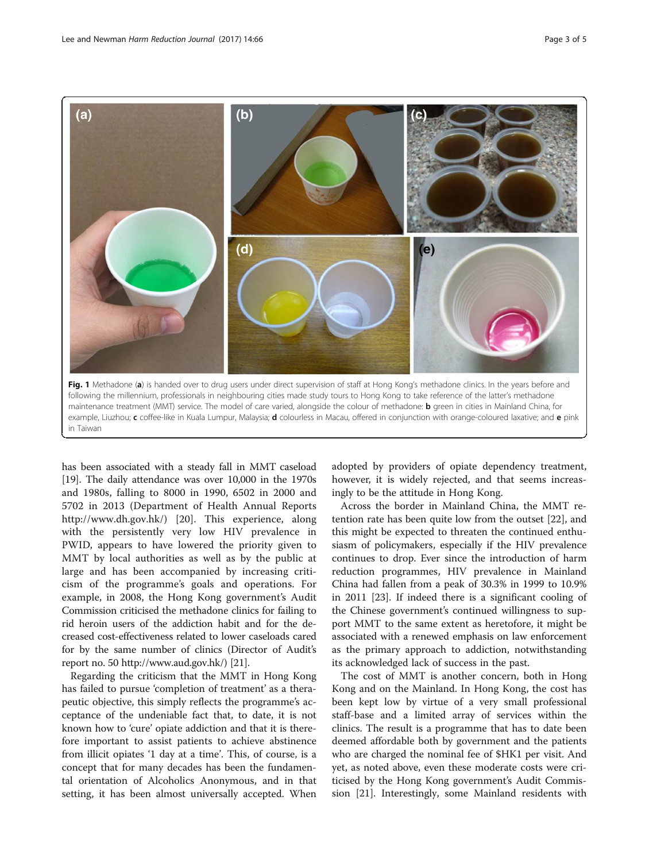<span id="page-2-0"></span>

has been associated with a steady fall in MMT caseload [[19](#page-4-0)]. The daily attendance was over 10,000 in the 1970s and 1980s, falling to 8000 in 1990, 6502 in 2000 and 5702 in 2013 (Department of Health Annual Reports <http://www.dh.gov.hk/>) [[20\]](#page-4-0). This experience, along with the persistently very low HIV prevalence in PWID, appears to have lowered the priority given to MMT by local authorities as well as by the public at large and has been accompanied by increasing criticism of the programme's goals and operations. For example, in 2008, the Hong Kong government's Audit Commission criticised the methadone clinics for failing to rid heroin users of the addiction habit and for the decreased cost-effectiveness related to lower caseloads cared for by the same number of clinics (Director of Audit's report no. 50 [http://www.aud.gov.hk/\)](http://www.aud.gov.hk/)) [\[21](#page-4-0)].

Regarding the criticism that the MMT in Hong Kong has failed to pursue 'completion of treatment' as a therapeutic objective, this simply reflects the programme's acceptance of the undeniable fact that, to date, it is not known how to 'cure' opiate addiction and that it is therefore important to assist patients to achieve abstinence from illicit opiates '1 day at a time'. This, of course, is a concept that for many decades has been the fundamental orientation of Alcoholics Anonymous, and in that setting, it has been almost universally accepted. When

adopted by providers of opiate dependency treatment, however, it is widely rejected, and that seems increasingly to be the attitude in Hong Kong.

Across the border in Mainland China, the MMT retention rate has been quite low from the outset [\[22](#page-4-0)], and this might be expected to threaten the continued enthusiasm of policymakers, especially if the HIV prevalence continues to drop. Ever since the introduction of harm reduction programmes, HIV prevalence in Mainland China had fallen from a peak of 30.3% in 1999 to 10.9% in 2011 [\[23\]](#page-4-0). If indeed there is a significant cooling of the Chinese government's continued willingness to support MMT to the same extent as heretofore, it might be associated with a renewed emphasis on law enforcement as the primary approach to addiction, notwithstanding its acknowledged lack of success in the past.

The cost of MMT is another concern, both in Hong Kong and on the Mainland. In Hong Kong, the cost has been kept low by virtue of a very small professional staff-base and a limited array of services within the clinics. The result is a programme that has to date been deemed affordable both by government and the patients who are charged the nominal fee of \$HK1 per visit. And yet, as noted above, even these moderate costs were criticised by the Hong Kong government's Audit Commission [[21\]](#page-4-0). Interestingly, some Mainland residents with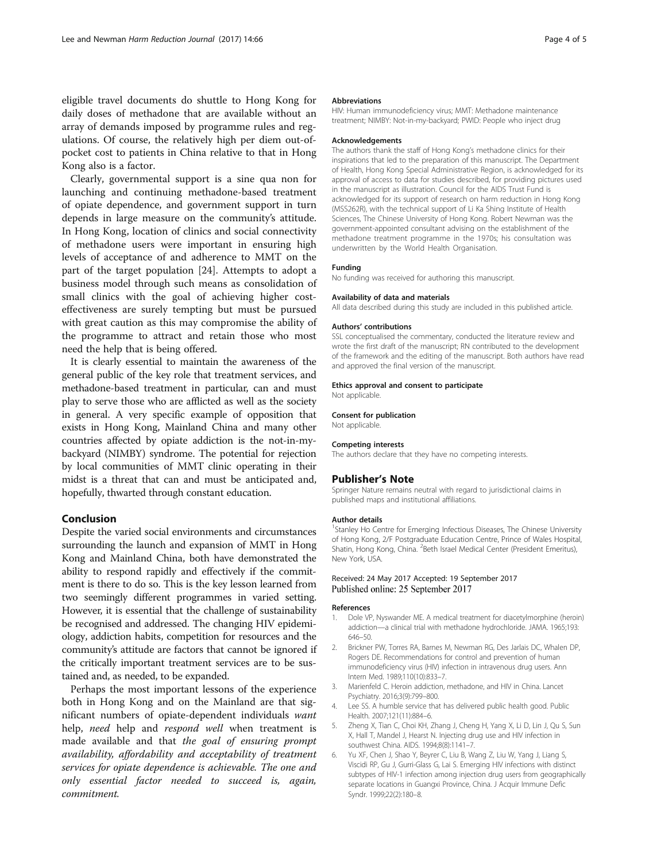<span id="page-3-0"></span>eligible travel documents do shuttle to Hong Kong for daily doses of methadone that are available without an array of demands imposed by programme rules and regulations. Of course, the relatively high per diem out-ofpocket cost to patients in China relative to that in Hong Kong also is a factor.

Clearly, governmental support is a sine qua non for launching and continuing methadone-based treatment of opiate dependence, and government support in turn depends in large measure on the community's attitude. In Hong Kong, location of clinics and social connectivity of methadone users were important in ensuring high levels of acceptance of and adherence to MMT on the part of the target population [\[24\]](#page-4-0). Attempts to adopt a business model through such means as consolidation of small clinics with the goal of achieving higher costeffectiveness are surely tempting but must be pursued with great caution as this may compromise the ability of the programme to attract and retain those who most need the help that is being offered.

It is clearly essential to maintain the awareness of the general public of the key role that treatment services, and methadone-based treatment in particular, can and must play to serve those who are afflicted as well as the society in general. A very specific example of opposition that exists in Hong Kong, Mainland China and many other countries affected by opiate addiction is the not-in-mybackyard (NIMBY) syndrome. The potential for rejection by local communities of MMT clinic operating in their midst is a threat that can and must be anticipated and, hopefully, thwarted through constant education.

### Conclusion

Despite the varied social environments and circumstances surrounding the launch and expansion of MMT in Hong Kong and Mainland China, both have demonstrated the ability to respond rapidly and effectively if the commitment is there to do so. This is the key lesson learned from two seemingly different programmes in varied setting. However, it is essential that the challenge of sustainability be recognised and addressed. The changing HIV epidemiology, addiction habits, competition for resources and the community's attitude are factors that cannot be ignored if the critically important treatment services are to be sustained and, as needed, to be expanded.

Perhaps the most important lessons of the experience both in Hong Kong and on the Mainland are that significant numbers of opiate-dependent individuals want help, *need* help and *respond well* when treatment is made available and that the goal of ensuring prompt availability, affordability and acceptability of treatment services for opiate dependence is achievable. The one and only essential factor needed to succeed is, again, commitment.

#### Abbreviations

HIV: Human immunodeficiency virus; MMT: Methadone maintenance treatment; NIMBY: Not-in-my-backyard; PWID: People who inject drug

#### Acknowledgements

The authors thank the staff of Hong Kong's methadone clinics for their inspirations that led to the preparation of this manuscript. The Department of Health, Hong Kong Special Administrative Region, is acknowledged for its approval of access to data for studies described, for providing pictures used in the manuscript as illustration. Council for the AIDS Trust Fund is acknowledged for its support of research on harm reduction in Hong Kong (MSS262R), with the technical support of Li Ka Shing Institute of Health Sciences, The Chinese University of Hong Kong. Robert Newman was the government-appointed consultant advising on the establishment of the methadone treatment programme in the 1970s; his consultation was underwritten by the World Health Organisation.

#### Funding

No funding was received for authoring this manuscript.

#### Availability of data and materials

All data described during this study are included in this published article.

#### Authors' contributions

SSL conceptualised the commentary, conducted the literature review and wrote the first draft of the manuscript; RN contributed to the development of the framework and the editing of the manuscript. Both authors have read and approved the final version of the manuscript.

#### Ethics approval and consent to participate

Not applicable.

Consent for publication Not applicable.

#### Competing interests

The authors declare that they have no competing interests.

#### Publisher's Note

Springer Nature remains neutral with regard to jurisdictional claims in published maps and institutional affiliations.

#### Author details

<sup>1</sup>Stanley Ho Centre for Emerging Infectious Diseases, The Chinese University of Hong Kong, 2/F Postgraduate Education Centre, Prince of Wales Hospital, Shatin, Hong Kong, China. <sup>2</sup>Beth Israel Medical Center (President Emeritus), New York, USA.

### Received: 24 May 2017 Accepted: 19 September 2017 Published online: 25 September 2017

#### References

- 1. Dole VP, Nyswander ME. A medical treatment for diacetylmorphine (heroin) addiction—a clinical trial with methadone hydrochloride. JAMA. 1965;193: 646–50.
- 2. Brickner PW, Torres RA, Barnes M, Newman RG, Des Jarlais DC, Whalen DP, Rogers DE. Recommendations for control and prevention of human immunodeficiency virus (HIV) infection in intravenous drug users. Ann Intern Med. 1989;110(10):833–7.
- 3. Marienfeld C. Heroin addiction, methadone, and HIV in China. Lancet Psychiatry. 2016;3(9):799–800.
- Lee SS. A humble service that has delivered public health good. Public Health. 2007;121(11):884–6.
- 5. Zheng X, Tian C, Choi KH, Zhang J, Cheng H, Yang X, Li D, Lin J, Qu S, Sun X, Hall T, Mandel J, Hearst N. Injecting drug use and HIV infection in southwest China. AIDS. 1994;8(8):1141–7.
- 6. Yu XF, Chen J, Shao Y, Beyrer C, Liu B, Wang Z, Liu W, Yang J, Liang S, Viscidi RP, Gu J, Gurri-Glass G, Lai S. Emerging HIV infections with distinct subtypes of HIV-1 infection among injection drug users from geographically separate locations in Guangxi Province, China. J Acquir Immune Defic Syndr. 1999;22(2):180–8.